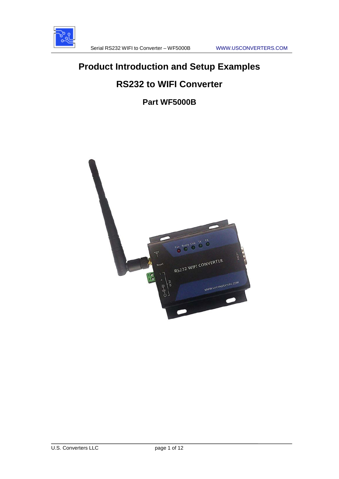

# **Product Introduction and Setup Examples**

# **RS232 to WIFI Converter**

# **Part WF5000B**

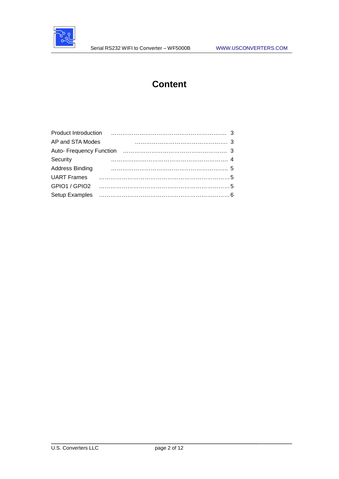

# **Content**

| 3<br>AP and STA Modes |
|-----------------------|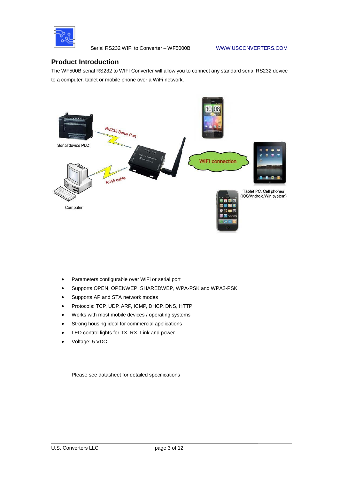

Serial RS232 WIFI to Converter – WF5000B WWW.USCONVERTERS.COM

# **Product Introduction**

The WF500B serial RS232 to WIFI Converter will allow you to connect any standard serial RS232 device to a computer, tablet or mobile phone over a WiFi network.



- Parameters configurable over WiFi or serial port
- Supports OPEN, OPENWEP, SHAREDWEP, WPA-PSK and WPA2-PSK
- Supports AP and STA network modes
- Protocols: TCP, UDP, ARP, ICMP, DHCP, DNS, HTTP
- Works with most mobile devices / operating systems
- Strong housing ideal for commercial applications
- LED control lights for TX, RX, Link and power
- Voltage: 5 VDC

Please see datasheet for detailed specifications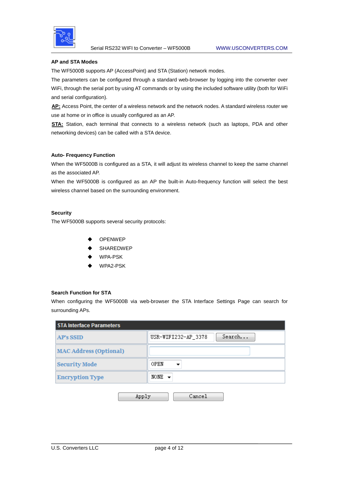

#### **AP and STA Modes**

The WF5000B supports AP (AccessPoint) and STA (Station) network modes.

The parameters can be configured through a standard web-browser by logging into the converter over WiFi, through the serial port by using AT commands or by using the included software utility (both for WiFi and serial configuration).

AP: Access Point, the center of a wireless network and the network nodes. A standard wireless router we use at home or in office is usually configured as an AP.

**STA:** Station, each terminal that connects to a wireless network (such as laptops, PDA and other networking devices) can be called with a STA device.

#### **Auto- Frequency Function**

When the WF5000B is configured as a STA, it will adjust its wireless channel to keep the same channel as the associated AP.

When the WF5000B is configured as an AP the built-in Auto-frequency function will select the best wireless channel based on the surrounding environment.

#### **Security**

The WF5000B supports several security protocols:

- OPENWEP
- SHAREDWEP
- WPA-PSK
- WPA2-PSK

#### **Search Function for STA**

When configuring the WF5000B via web-browser the STA Interface Settings Page can search for surrounding APs.

| <b>STA Interface Parameters</b> |                               |  |
|---------------------------------|-------------------------------|--|
| <b>AP's SSID</b>                | Search<br>USR-WIFI232-AP_3378 |  |
| <b>MAC Address (Optional)</b>   |                               |  |
| <b>Security Mode</b>            | OPEN                          |  |
| <b>Encryption Type</b>          | NONE $\sim$                   |  |
|                                 | Apply<br>Cancel               |  |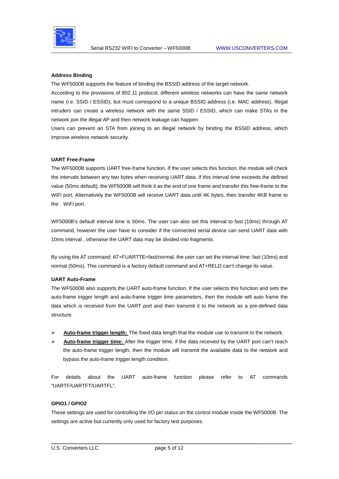

#### **Address Binding**

The WF5000B supports the feature of binding the BSSID address of the target network.

According to the provisions of 802.11 protocol, different wireless networks can have the same network name (i.e. SSID / ESSID), but must correspond to a unique BSSID address (i.e. MAC address). Illegal intruders can create a wireless network with the same SSID / ESSID, which can make STAs in the network join the illegal AP and then network leakage can happen.

Users can prevent an STA from joining to an illegal network by binding the BSSID address, which improve wireless network security.

#### **UART Free-Frame**

The WF5000B supports UART free-frame function. If the user selects this function, the module will check the intervals between any two bytes when receiving UART data. If this interval time exceeds the defined value (50ms default), the WF5000B will think it as the end of one frame and transfer this free-frame to the WiFi port. Alternatively the WF5000B will receive UART data until 4K bytes, then transfer 4KB frame to the WiFi port.

WF5000B's default interval time is 50ms. The user can also set this interval to fast (10ms) through AT command, however the user have to consider if the connected serial device can send UART data with 10ms interval , otherwise the UART data may be divided into fragments.

By using the AT command: AT+FUARTTE=fast/normal, the user can set the interval time: fast (10ms) and normal (50ms). This command is a factory default command and AT+RELD can't change its value.

#### **UART Auto-Frame**

The WF5000B also supports the UART auto-frame function. If the user selects this function and sets the auto-frame trigger length and auto-frame trigger time parameters, then the module will auto frame the data which is received from the UART port and then transmit it to the network as a pre-defined data structure.

- > Auto-frame trigger length: The fixed data length that the module use to transmit to the network.
- **E** Auto-frame trigger time: After the trigger time, if the data received by the UART port can't reach the auto-frame trigger length, then the module will transmit the available data to the network and bypass the auto-frame trigger length condition.

For details about the UART auto-frame function please refer to AT commands "UARTF/UARTFT/UARTFL".

#### **GPIO1 / GPIO2**

These settings are used for controlling the I/O pin status on the control module inside the WF5000B. The settings are active but currently only used for factory test purposes.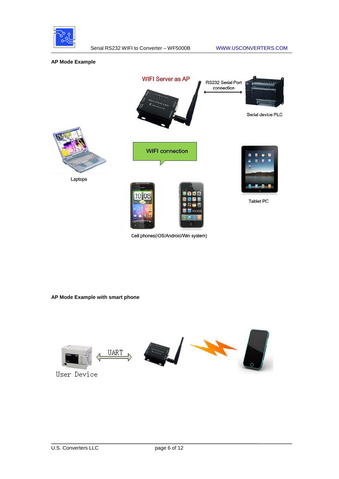

**AP Mode Example**



Cell phones(IOS/Android/Win system)

**AP Mode Example with smart phone**

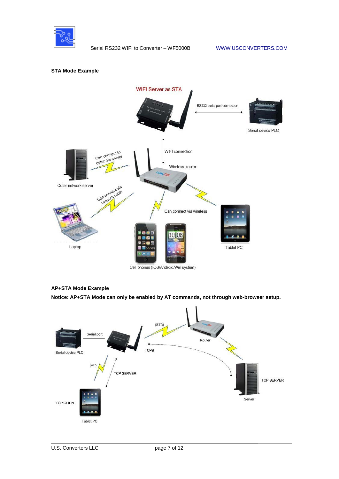

## **STA Mode Example**



# Cell phones (IOS/Android/Win system)

# **AP+STA Mode Example**

**Notice: AP+STA Mode can only be enabled by AT commands, not through web-browser setup.** 

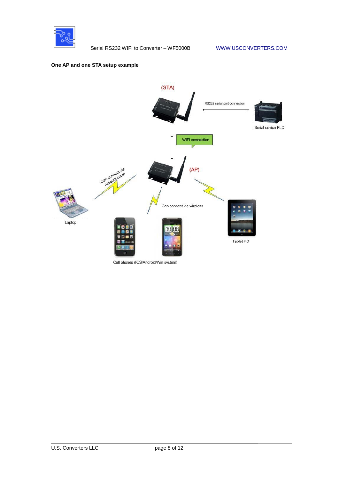

## **One AP and one STA setup example**

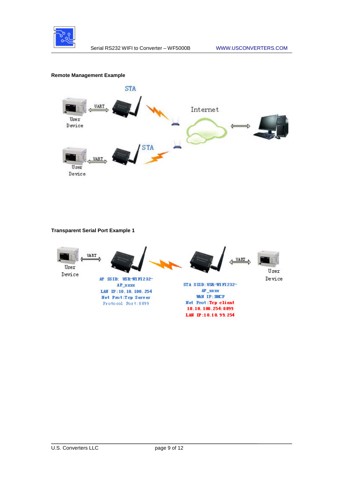

## **Remote Management Example**



# **Transparent Serial Port Example 1**



10.10.100.254:8899 LAW IP:10.10.99.254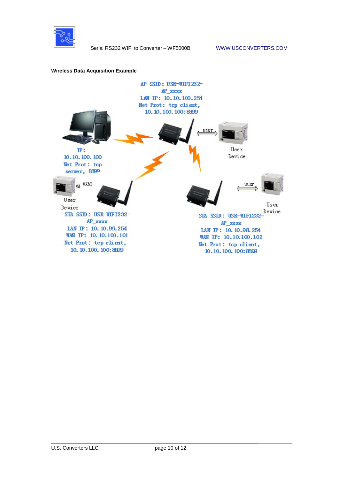

## **Wireless Data Acquisition Example**

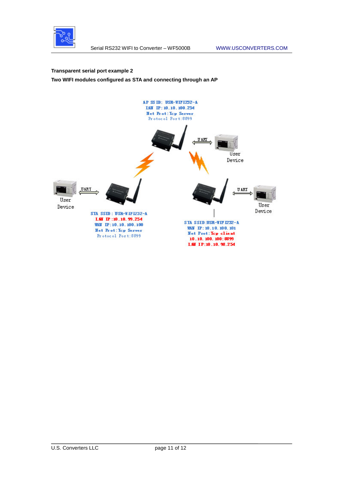

#### **Transparent serial port example 2**

**Two WIFI modules configured as STA and connecting through an AP**